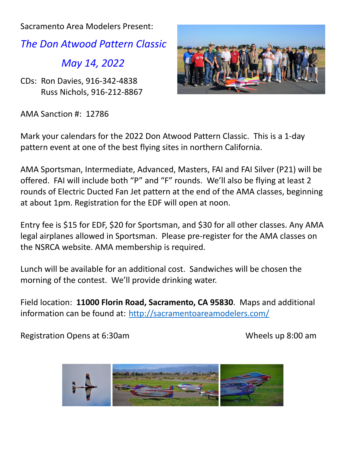Sacramento Area Modelers Present:

*The Don Atwood Pattern Classic*

*May 14, 2022*

CDs: Ron Davies, 916-342-4838 Russ Nichols, 916-212-8867

AMA Sanction #: 12786



Mark your calendars for the 2022 Don Atwood Pattern Classic. This is a 1-day pattern event at one of the best flying sites in northern California.

AMA Sportsman, Intermediate, Advanced, Masters, FAI and FAI Silver (P21) will be offered. FAI will include both "P" and "F" rounds. We'll also be flying at least 2 rounds of Electric Ducted Fan Jet pattern at the end of the AMA classes, beginning at about 1pm. Registration for the EDF will open at noon.

Entry fee is \$15 for EDF, \$20 for Sportsman, and \$30 for all other classes. Any AMA legal airplanes allowed in Sportsman. Please pre-register for the AMA classes on the NSRCA website. AMA membership is required.

Lunch will be available for an additional cost. Sandwiches will be chosen the morning of the contest. We'll provide drinking water.

Field location: **11000 Florin Road, Sacramento, CA 95830**. Maps and additional information can be found at: <http://sacramentoareamodelers.com/>

Registration Opens at 6:30am Wheels up 8:00 am